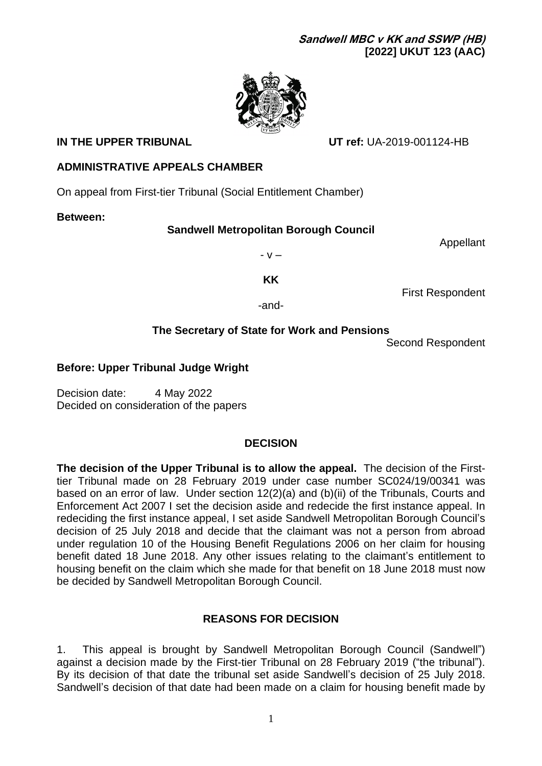

**IN THE UPPER TRIBUNAL UT ref:** UA-2019-001124-HB

# **ADMINISTRATIVE APPEALS CHAMBER**

On appeal from First-tier Tribunal (Social Entitlement Chamber)

**Between:**

# **Sandwell Metropolitan Borough Council**

Appellant

- v –

**KK**

First Respondent

-and-

# **The Secretary of State for Work and Pensions**

Second Respondent

# **Before: Upper Tribunal Judge Wright**

Decision date: 4 May 2022 Decided on consideration of the papers

# **DECISION**

**The decision of the Upper Tribunal is to allow the appeal.** The decision of the Firsttier Tribunal made on 28 February 2019 under case number SC024/19/00341 was based on an error of law. Under section 12(2)(a) and (b)(ii) of the Tribunals, Courts and Enforcement Act 2007 I set the decision aside and redecide the first instance appeal. In redeciding the first instance appeal, I set aside Sandwell Metropolitan Borough Council's decision of 25 July 2018 and decide that the claimant was not a person from abroad under regulation 10 of the Housing Benefit Regulations 2006 on her claim for housing benefit dated 18 June 2018. Any other issues relating to the claimant's entitlement to housing benefit on the claim which she made for that benefit on 18 June 2018 must now be decided by Sandwell Metropolitan Borough Council.

# **REASONS FOR DECISION**

1. This appeal is brought by Sandwell Metropolitan Borough Council (Sandwell") against a decision made by the First-tier Tribunal on 28 February 2019 ("the tribunal"). By its decision of that date the tribunal set aside Sandwell's decision of 25 July 2018. Sandwell's decision of that date had been made on a claim for housing benefit made by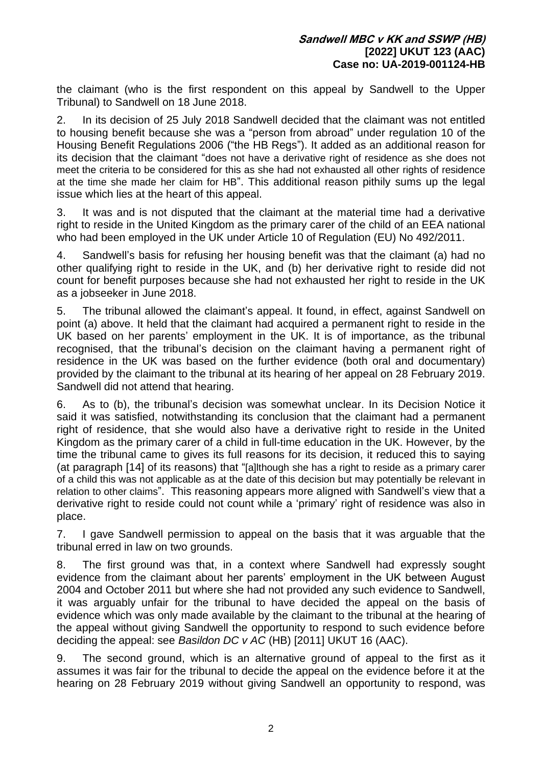the claimant (who is the first respondent on this appeal by Sandwell to the Upper Tribunal) to Sandwell on 18 June 2018.

2. In its decision of 25 July 2018 Sandwell decided that the claimant was not entitled to housing benefit because she was a "person from abroad" under regulation 10 of the Housing Benefit Regulations 2006 ("the HB Regs"). It added as an additional reason for its decision that the claimant "does not have a derivative right of residence as she does not meet the criteria to be considered for this as she had not exhausted all other rights of residence at the time she made her claim for HB". This additional reason pithily sums up the legal issue which lies at the heart of this appeal.

3. It was and is not disputed that the claimant at the material time had a derivative right to reside in the United Kingdom as the primary carer of the child of an EEA national who had been employed in the UK under Article 10 of Regulation (EU) No 492/2011.

4. Sandwell's basis for refusing her housing benefit was that the claimant (a) had no other qualifying right to reside in the UK, and (b) her derivative right to reside did not count for benefit purposes because she had not exhausted her right to reside in the UK as a jobseeker in June 2018.

5. The tribunal allowed the claimant's appeal. It found, in effect, against Sandwell on point (a) above. It held that the claimant had acquired a permanent right to reside in the UK based on her parents' employment in the UK. It is of importance, as the tribunal recognised, that the tribunal's decision on the claimant having a permanent right of residence in the UK was based on the further evidence (both oral and documentary) provided by the claimant to the tribunal at its hearing of her appeal on 28 February 2019. Sandwell did not attend that hearing.

6. As to (b), the tribunal's decision was somewhat unclear. In its Decision Notice it said it was satisfied, notwithstanding its conclusion that the claimant had a permanent right of residence, that she would also have a derivative right to reside in the United Kingdom as the primary carer of a child in full-time education in the UK. However, by the time the tribunal came to gives its full reasons for its decision, it reduced this to saying (at paragraph [14] of its reasons) that "[a]lthough she has a right to reside as a primary carer of a child this was not applicable as at the date of this decision but may potentially be relevant in relation to other claims". This reasoning appears more aligned with Sandwell's view that a derivative right to reside could not count while a 'primary' right of residence was also in place.

7. I gave Sandwell permission to appeal on the basis that it was arguable that the tribunal erred in law on two grounds.

8. The first ground was that, in a context where Sandwell had expressly sought evidence from the claimant about her parents' employment in the UK between August 2004 and October 2011 but where she had not provided any such evidence to Sandwell, it was arguably unfair for the tribunal to have decided the appeal on the basis of evidence which was only made available by the claimant to the tribunal at the hearing of the appeal without giving Sandwell the opportunity to respond to such evidence before deciding the appeal: see *Basildon DC v AC* (HB) [2011] UKUT 16 (AAC).

9. The second ground, which is an alternative ground of appeal to the first as it assumes it was fair for the tribunal to decide the appeal on the evidence before it at the hearing on 28 February 2019 without giving Sandwell an opportunity to respond, was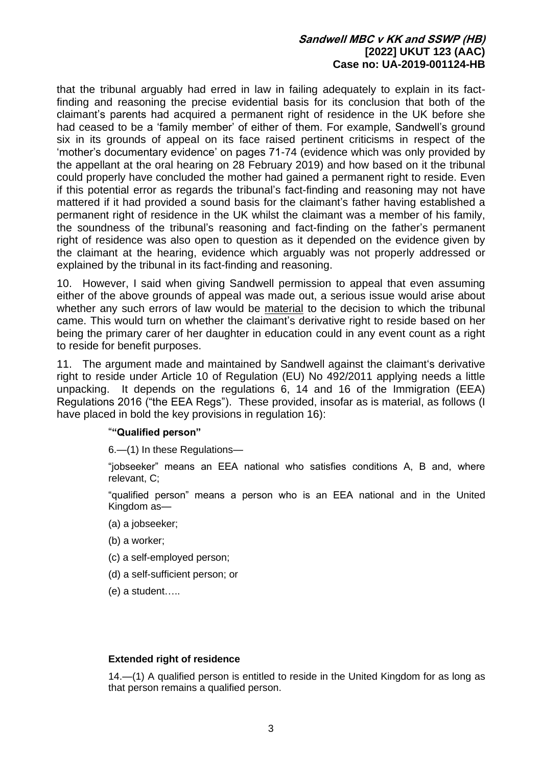that the tribunal arguably had erred in law in failing adequately to explain in its factfinding and reasoning the precise evidential basis for its conclusion that both of the claimant's parents had acquired a permanent right of residence in the UK before she had ceased to be a 'family member' of either of them. For example, Sandwell's ground six in its grounds of appeal on its face raised pertinent criticisms in respect of the 'mother's documentary evidence' on pages 71-74 (evidence which was only provided by the appellant at the oral hearing on 28 February 2019) and how based on it the tribunal could properly have concluded the mother had gained a permanent right to reside. Even if this potential error as regards the tribunal's fact-finding and reasoning may not have mattered if it had provided a sound basis for the claimant's father having established a permanent right of residence in the UK whilst the claimant was a member of his family, the soundness of the tribunal's reasoning and fact-finding on the father's permanent right of residence was also open to question as it depended on the evidence given by the claimant at the hearing, evidence which arguably was not properly addressed or explained by the tribunal in its fact-finding and reasoning.

10. However, I said when giving Sandwell permission to appeal that even assuming either of the above grounds of appeal was made out, a serious issue would arise about whether any such errors of law would be material to the decision to which the tribunal came. This would turn on whether the claimant's derivative right to reside based on her being the primary carer of her daughter in education could in any event count as a right to reside for benefit purposes.

11. The argument made and maintained by Sandwell against the claimant's derivative right to reside under Article 10 of Regulation (EU) No 492/2011 applying needs a little unpacking. It depends on the regulations 6, 14 and 16 of the Immigration (EEA) Regulations 2016 ("the EEA Regs"). These provided, insofar as is material, as follows (I have placed in bold the key provisions in regulation 16):

## "**"Qualified person"**

6.—(1) In these Regulations—

"jobseeker" means an EEA national who satisfies conditions A, B and, where relevant, C;

"qualified person" means a person who is an EEA national and in the United Kingdom as—

- (a) a jobseeker;
- (b) a worker;
- (c) a self-employed person;
- (d) a self-sufficient person; or
- (e) a student…..

### **Extended right of residence**

14.—(1) A qualified person is entitled to reside in the United Kingdom for as long as that person remains a qualified person.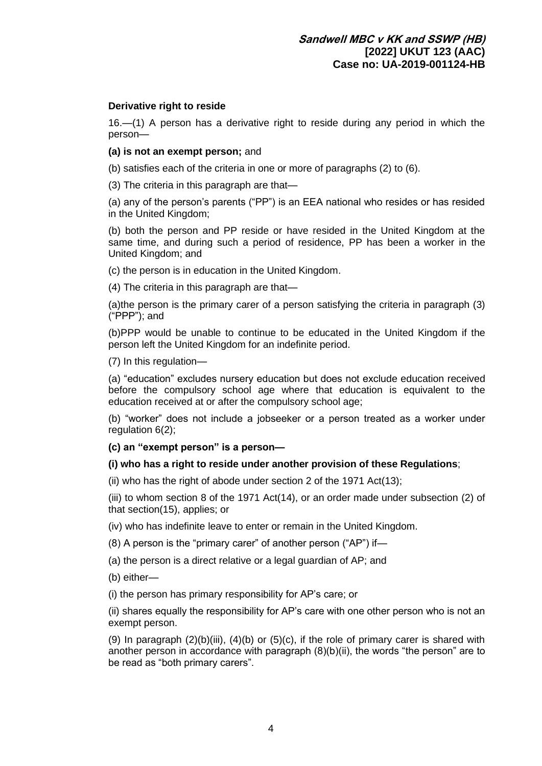### **Derivative right to reside**

16.—(1) A person has a derivative right to reside during any period in which the person—

**(a) is not an exempt person;** and

(b) satisfies each of the criteria in one or more of paragraphs (2) to (6).

(3) The criteria in this paragraph are that—

(a) any of the person's parents ("PP") is an EEA national who resides or has resided in the United Kingdom;

(b) both the person and PP reside or have resided in the United Kingdom at the same time, and during such a period of residence, PP has been a worker in the United Kingdom; and

(c) the person is in education in the United Kingdom.

(4) The criteria in this paragraph are that—

(a)the person is the primary carer of a person satisfying the criteria in paragraph (3) ("PPP"); and

(b)PPP would be unable to continue to be educated in the United Kingdom if the person left the United Kingdom for an indefinite period.

(7) In this regulation—

(a) "education" excludes nursery education but does not exclude education received before the compulsory school age where that education is equivalent to the education received at or after the compulsory school age;

(b) "worker" does not include a jobseeker or a person treated as a worker under regulation 6(2);

**(c) an "exempt person" is a person—**

### **(i) who has a right to reside under another provision of these Regulations**;

(ii) who has the right of abode under section 2 of the 1971 Act(13);

(iii) to whom section 8 of the 1971 Act(14), or an order made under subsection (2) of that section(15), applies; or

(iv) who has indefinite leave to enter or remain in the United Kingdom.

(8) A person is the "primary carer" of another person ("AP") if—

(a) the person is a direct relative or a legal guardian of AP; and

(b) either—

(i) the person has primary responsibility for AP's care; or

(ii) shares equally the responsibility for AP's care with one other person who is not an exempt person.

(9) In paragraph  $(2)(b)(iii)$ ,  $(4)(b)$  or  $(5)(c)$ , if the role of primary carer is shared with another person in accordance with paragraph (8)(b)(ii), the words "the person" are to be read as "both primary carers".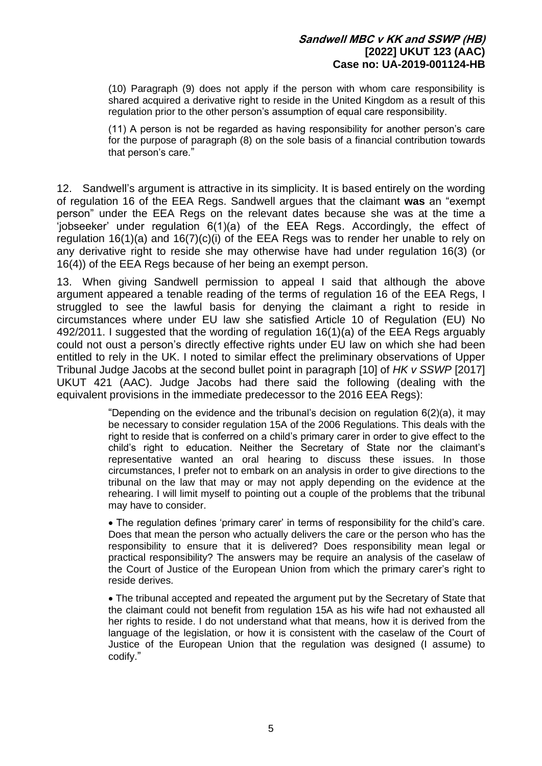(10) Paragraph (9) does not apply if the person with whom care responsibility is shared acquired a derivative right to reside in the United Kingdom as a result of this regulation prior to the other person's assumption of equal care responsibility.

(11) A person is not be regarded as having responsibility for another person's care for the purpose of paragraph (8) on the sole basis of a financial contribution towards that person's care."

12. Sandwell's argument is attractive in its simplicity. It is based entirely on the wording of regulation 16 of the EEA Regs. Sandwell argues that the claimant **was** an "exempt person" under the EEA Regs on the relevant dates because she was at the time a 'jobseeker' under regulation 6(1)(a) of the EEA Regs. Accordingly, the effect of regulation 16(1)(a) and 16(7)(c)(i) of the EEA Regs was to render her unable to rely on any derivative right to reside she may otherwise have had under regulation 16(3) (or 16(4)) of the EEA Regs because of her being an exempt person.

13. When giving Sandwell permission to appeal I said that although the above argument appeared a tenable reading of the terms of regulation 16 of the EEA Regs, I struggled to see the lawful basis for denying the claimant a right to reside in circumstances where under EU law she satisfied Article 10 of Regulation (EU) No 492/2011. I suggested that the wording of regulation 16(1)(a) of the EEA Regs arguably could not oust a person's directly effective rights under EU law on which she had been entitled to rely in the UK. I noted to similar effect the preliminary observations of Upper Tribunal Judge Jacobs at the second bullet point in paragraph [10] of *HK v SSWP* [2017] UKUT 421 (AAC). Judge Jacobs had there said the following (dealing with the equivalent provisions in the immediate predecessor to the 2016 EEA Regs):

> "Depending on the evidence and the tribunal's decision on regulation  $6(2)(a)$ , it may be necessary to consider regulation 15A of the 2006 Regulations. This deals with the right to reside that is conferred on a child's primary carer in order to give effect to the child's right to education. Neither the Secretary of State nor the claimant's representative wanted an oral hearing to discuss these issues. In those circumstances, I prefer not to embark on an analysis in order to give directions to the tribunal on the law that may or may not apply depending on the evidence at the rehearing. I will limit myself to pointing out a couple of the problems that the tribunal may have to consider.

> • The regulation defines 'primary carer' in terms of responsibility for the child's care. Does that mean the person who actually delivers the care or the person who has the responsibility to ensure that it is delivered? Does responsibility mean legal or practical responsibility? The answers may be require an analysis of the caselaw of the Court of Justice of the European Union from which the primary carer's right to reside derives.

> • The tribunal accepted and repeated the argument put by the Secretary of State that the claimant could not benefit from regulation 15A as his wife had not exhausted all her rights to reside. I do not understand what that means, how it is derived from the language of the legislation, or how it is consistent with the caselaw of the Court of Justice of the European Union that the regulation was designed (I assume) to codify."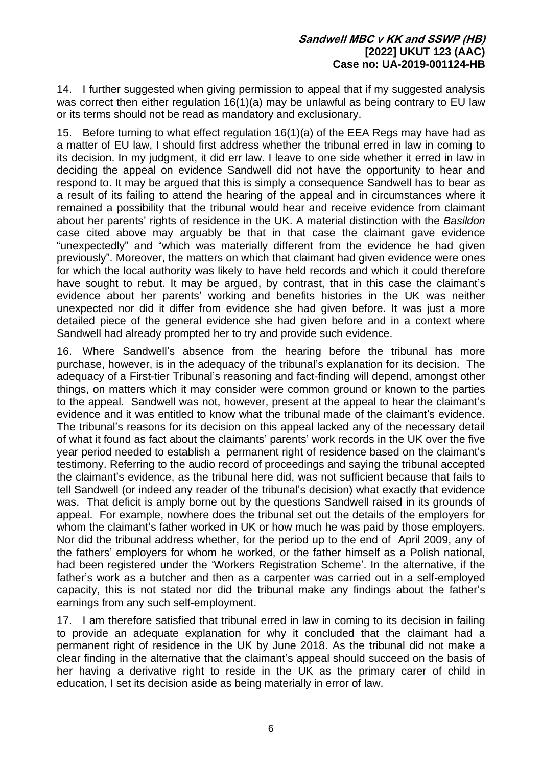14. I further suggested when giving permission to appeal that if my suggested analysis was correct then either regulation 16(1)(a) may be unlawful as being contrary to EU law or its terms should not be read as mandatory and exclusionary.

15. Before turning to what effect regulation 16(1)(a) of the EEA Regs may have had as a matter of EU law, I should first address whether the tribunal erred in law in coming to its decision. In my judgment, it did err law. I leave to one side whether it erred in law in deciding the appeal on evidence Sandwell did not have the opportunity to hear and respond to. It may be argued that this is simply a consequence Sandwell has to bear as a result of its failing to attend the hearing of the appeal and in circumstances where it remained a possibility that the tribunal would hear and receive evidence from claimant about her parents' rights of residence in the UK. A material distinction with the *Basildon* case cited above may arguably be that in that case the claimant gave evidence "unexpectedly" and "which was materially different from the evidence he had given previously". Moreover, the matters on which that claimant had given evidence were ones for which the local authority was likely to have held records and which it could therefore have sought to rebut. It may be argued, by contrast, that in this case the claimant's evidence about her parents' working and benefits histories in the UK was neither unexpected nor did it differ from evidence she had given before. It was just a more detailed piece of the general evidence she had given before and in a context where Sandwell had already prompted her to try and provide such evidence.

16. Where Sandwell's absence from the hearing before the tribunal has more purchase, however, is in the adequacy of the tribunal's explanation for its decision. The adequacy of a First-tier Tribunal's reasoning and fact-finding will depend, amongst other things, on matters which it may consider were common ground or known to the parties to the appeal. Sandwell was not, however, present at the appeal to hear the claimant's evidence and it was entitled to know what the tribunal made of the claimant's evidence. The tribunal's reasons for its decision on this appeal lacked any of the necessary detail of what it found as fact about the claimants' parents' work records in the UK over the five year period needed to establish a permanent right of residence based on the claimant's testimony. Referring to the audio record of proceedings and saying the tribunal accepted the claimant's evidence, as the tribunal here did, was not sufficient because that fails to tell Sandwell (or indeed any reader of the tribunal's decision) what exactly that evidence was. That deficit is amply borne out by the questions Sandwell raised in its grounds of appeal. For example, nowhere does the tribunal set out the details of the employers for whom the claimant's father worked in UK or how much he was paid by those employers. Nor did the tribunal address whether, for the period up to the end of April 2009, any of the fathers' employers for whom he worked, or the father himself as a Polish national, had been registered under the 'Workers Registration Scheme'. In the alternative, if the father's work as a butcher and then as a carpenter was carried out in a self-employed capacity, this is not stated nor did the tribunal make any findings about the father's earnings from any such self-employment.

17. I am therefore satisfied that tribunal erred in law in coming to its decision in failing to provide an adequate explanation for why it concluded that the claimant had a permanent right of residence in the UK by June 2018. As the tribunal did not make a clear finding in the alternative that the claimant's appeal should succeed on the basis of her having a derivative right to reside in the UK as the primary carer of child in education, I set its decision aside as being materially in error of law.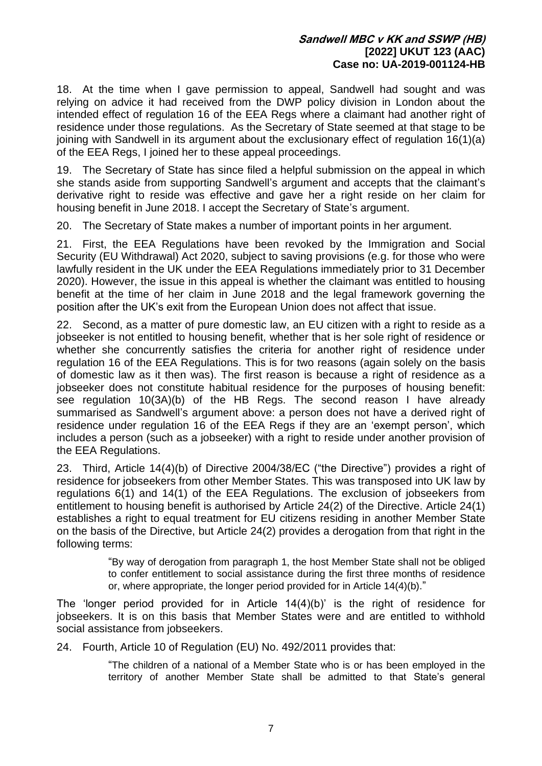18. At the time when I gave permission to appeal, Sandwell had sought and was relying on advice it had received from the DWP policy division in London about the intended effect of regulation 16 of the EEA Regs where a claimant had another right of residence under those regulations. As the Secretary of State seemed at that stage to be joining with Sandwell in its argument about the exclusionary effect of regulation 16(1)(a) of the EEA Regs, I joined her to these appeal proceedings.

19. The Secretary of State has since filed a helpful submission on the appeal in which she stands aside from supporting Sandwell's argument and accepts that the claimant's derivative right to reside was effective and gave her a right reside on her claim for housing benefit in June 2018. I accept the Secretary of State's argument.

20. The Secretary of State makes a number of important points in her argument.

21. First, the EEA Regulations have been revoked by the Immigration and Social Security (EU Withdrawal) Act 2020, subject to saving provisions (e.g. for those who were lawfully resident in the UK under the EEA Regulations immediately prior to 31 December 2020). However, the issue in this appeal is whether the claimant was entitled to housing benefit at the time of her claim in June 2018 and the legal framework governing the position after the UK's exit from the European Union does not affect that issue.

22. Second, as a matter of pure domestic law, an EU citizen with a right to reside as a jobseeker is not entitled to housing benefit, whether that is her sole right of residence or whether she concurrently satisfies the criteria for another right of residence under regulation 16 of the EEA Regulations. This is for two reasons (again solely on the basis of domestic law as it then was). The first reason is because a right of residence as a jobseeker does not constitute habitual residence for the purposes of housing benefit: see regulation 10(3A)(b) of the HB Regs. The second reason I have already summarised as Sandwell's argument above: a person does not have a derived right of residence under regulation 16 of the EEA Regs if they are an 'exempt person', which includes a person (such as a jobseeker) with a right to reside under another provision of the EEA Regulations.

23. Third, Article 14(4)(b) of Directive 2004/38/EC ("the Directive") provides a right of residence for jobseekers from other Member States. This was transposed into UK law by regulations 6(1) and 14(1) of the EEA Regulations. The exclusion of jobseekers from entitlement to housing benefit is authorised by Article 24(2) of the Directive. Article 24(1) establishes a right to equal treatment for EU citizens residing in another Member State on the basis of the Directive, but Article 24(2) provides a derogation from that right in the following terms:

> "By way of derogation from paragraph 1, the host Member State shall not be obliged to confer entitlement to social assistance during the first three months of residence or, where appropriate, the longer period provided for in Article 14(4)(b)."

The 'longer period provided for in Article 14(4)(b)' is the right of residence for jobseekers. It is on this basis that Member States were and are entitled to withhold social assistance from jobseekers.

24. Fourth, Article 10 of Regulation (EU) No. 492/2011 provides that:

"The children of a national of a Member State who is or has been employed in the territory of another Member State shall be admitted to that State's general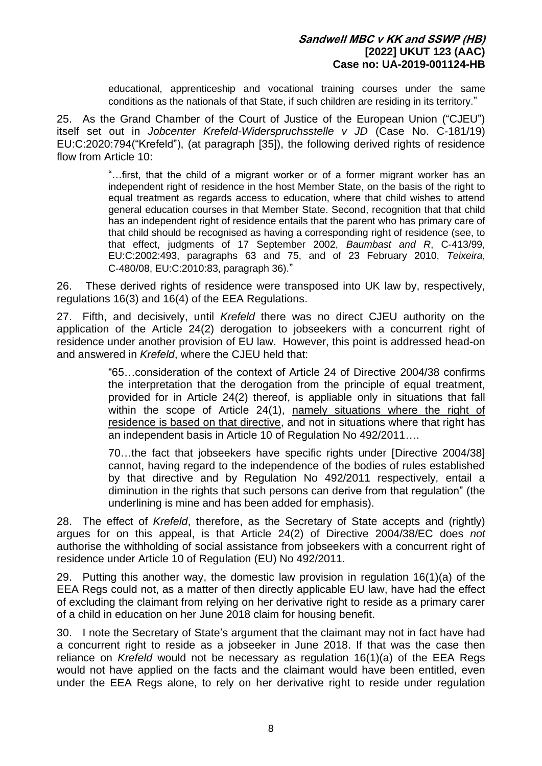educational, apprenticeship and vocational training courses under the same conditions as the nationals of that State, if such children are residing in its territory."

25. As the Grand Chamber of the Court of Justice of the European Union ("CJEU") itself set out in *Jobcenter Krefeld-Widerspruchsstelle v JD* (Case No. C-181/19) EU:C:2020:794("Krefeld"), (at paragraph [35]), the following derived rights of residence flow from Article 10:

> "…first, that the child of a migrant worker or of a former migrant worker has an independent right of residence in the host Member State, on the basis of the right to equal treatment as regards access to education, where that child wishes to attend general education courses in that Member State. Second, recognition that that child has an independent right of residence entails that the parent who has primary care of that child should be recognised as having a corresponding right of residence (see, to that effect, judgments of 17 September 2002, *Baumbast and R*, C‑413/99, EU:C:2002:493, paragraphs 63 and 75, and of 23 February 2010, *Teixeira*, C‑480/08, EU:C:2010:83, paragraph 36)."

26. These derived rights of residence were transposed into UK law by, respectively, regulations 16(3) and 16(4) of the EEA Regulations.

27. Fifth, and decisively, until *Krefeld* there was no direct CJEU authority on the application of the Article 24(2) derogation to jobseekers with a concurrent right of residence under another provision of EU law. However, this point is addressed head-on and answered in *Krefeld*, where the CJEU held that:

> "65…consideration of the context of Article 24 of Directive 2004/38 confirms the interpretation that the derogation from the principle of equal treatment, provided for in Article 24(2) thereof, is appliable only in situations that fall within the scope of Article 24(1), namely situations where the right of residence is based on that directive, and not in situations where that right has an independent basis in Article 10 of Regulation No 492/2011….

> 70…the fact that jobseekers have specific rights under [Directive 2004/38] cannot, having regard to the independence of the bodies of rules established by that directive and by Regulation No 492/2011 respectively, entail a diminution in the rights that such persons can derive from that regulation" (the underlining is mine and has been added for emphasis).

28. The effect of *Krefeld*, therefore, as the Secretary of State accepts and (rightly) argues for on this appeal, is that Article 24(2) of Directive 2004/38/EC does *not* authorise the withholding of social assistance from jobseekers with a concurrent right of residence under Article 10 of Regulation (EU) No 492/2011.

29. Putting this another way, the domestic law provision in regulation 16(1)(a) of the EEA Regs could not, as a matter of then directly applicable EU law, have had the effect of excluding the claimant from relying on her derivative right to reside as a primary carer of a child in education on her June 2018 claim for housing benefit.

30. I note the Secretary of State's argument that the claimant may not in fact have had a concurrent right to reside as a jobseeker in June 2018. If that was the case then reliance on *Krefeld* would not be necessary as regulation 16(1)(a) of the EEA Regs would not have applied on the facts and the claimant would have been entitled, even under the EEA Regs alone, to rely on her derivative right to reside under regulation